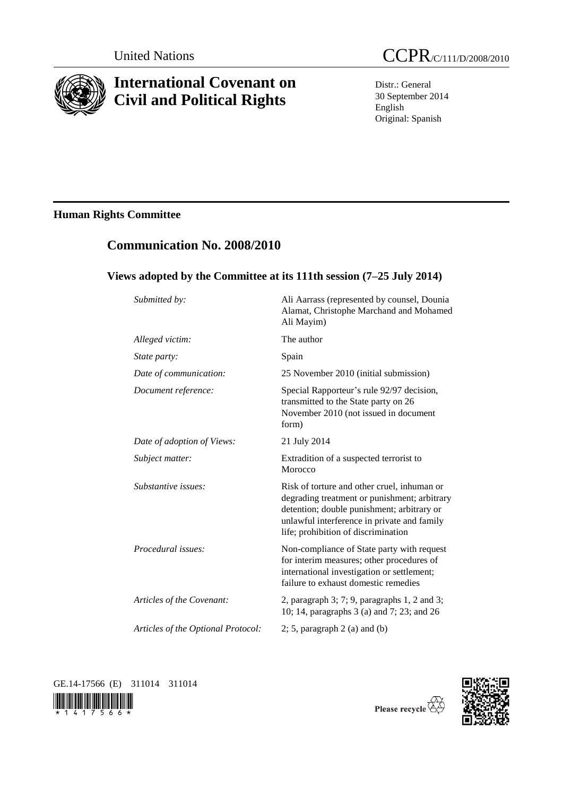

# **International Covenant on Civil and Political Rights**

Distr.: General 30 September 2014 English Original: Spanish

# **Human Rights Committee**

# **Communication No. 2008/2010**

## **Views adopted by the Committee at its 111th session (7–25 July 2014)**

| Submitted by:                      | Ali Aarrass (represented by counsel, Dounia<br>Alamat, Christophe Marchand and Mohamed<br>Ali Mayim)                                                                                                                            |
|------------------------------------|---------------------------------------------------------------------------------------------------------------------------------------------------------------------------------------------------------------------------------|
| Alleged victim:                    | The author                                                                                                                                                                                                                      |
| State party:                       | Spain                                                                                                                                                                                                                           |
| Date of communication:             | 25 November 2010 (initial submission)                                                                                                                                                                                           |
| Document reference:                | Special Rapporteur's rule 92/97 decision,<br>transmitted to the State party on 26<br>November 2010 (not issued in document<br>form)                                                                                             |
| Date of adoption of Views:         | 21 July 2014                                                                                                                                                                                                                    |
| Subject matter:                    | Extradition of a suspected terrorist to<br>Morocco                                                                                                                                                                              |
| Substantive issues:                | Risk of torture and other cruel, inhuman or<br>degrading treatment or punishment; arbitrary<br>detention; double punishment; arbitrary or<br>unlawful interference in private and family<br>life; prohibition of discrimination |
| Procedural issues:                 | Non-compliance of State party with request<br>for interim measures; other procedures of<br>international investigation or settlement;<br>failure to exhaust domestic remedies                                                   |
| Articles of the Covenant:          | 2, paragraph $3$ ; $7$ ; $9$ , paragraphs $1$ , $2$ and $3$ ;<br>10; 14, paragraphs 3 (a) and 7; 23; and 26                                                                                                                     |
| Articles of the Optional Protocol: | $2; 5$ , paragraph $2$ (a) and (b)                                                                                                                                                                                              |

GE.14-17566 (E) 311014 311014





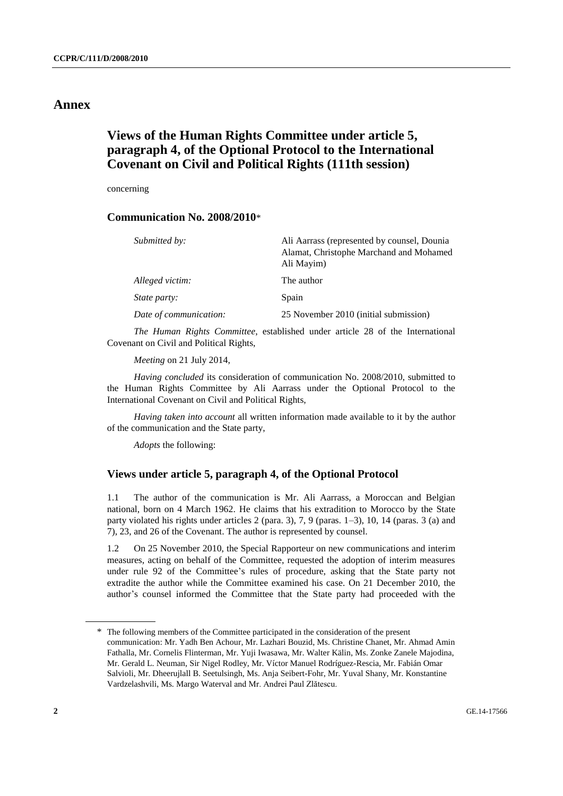### **Annex**

## **Views of the Human Rights Committee under article 5, paragraph 4, of the Optional Protocol to the International Covenant on Civil and Political Rights (111th session)**

concerning

### **Communication No. 2008/2010**\*

| Submitted by:          | Ali Aarrass (represented by counsel, Dounia<br>Alamat, Christophe Marchand and Mohamed<br>Ali Mayim) |
|------------------------|------------------------------------------------------------------------------------------------------|
| Alleged victim:        | The author                                                                                           |
| <i>State party:</i>    | Spain                                                                                                |
| Date of communication: | 25 November 2010 (initial submission)                                                                |

*The Human Rights Committee*, established under article 28 of the International Covenant on Civil and Political Rights,

*Meeting* on 21 July 2014,

*Having concluded* its consideration of communication No. 2008/2010, submitted to the Human Rights Committee by Ali Aarrass under the Optional Protocol to the International Covenant on Civil and Political Rights,

*Having taken into account* all written information made available to it by the author of the communication and the State party,

*Adopts* the following:

### **Views under article 5, paragraph 4, of the Optional Protocol**

1.1 The author of the communication is Mr. Ali Aarrass, a Moroccan and Belgian national, born on 4 March 1962. He claims that his extradition to Morocco by the State party violated his rights under articles 2 (para. 3), 7, 9 (paras. 1–3), 10, 14 (paras. 3 (a) and 7), 23, and 26 of the Covenant. The author is represented by counsel.

1.2 On 25 November 2010, the Special Rapporteur on new communications and interim measures, acting on behalf of the Committee, requested the adoption of interim measures under rule 92 of the Committee's rules of procedure, asking that the State party not extradite the author while the Committee examined his case. On 21 December 2010, the author's counsel informed the Committee that the State party had proceeded with the

<sup>\*</sup> The following members of the Committee participated in the consideration of the present communication: Mr. Yadh Ben Achour, Mr. Lazhari Bouzid, Ms. Christine Chanet, Mr. Ahmad Amin Fathalla, Mr. Cornelis Flinterman, Mr. Yuji Iwasawa, Mr. Walter Kälin, Ms. Zonke Zanele Majodina, Mr. Gerald L. Neuman, Sir Nigel Rodley, Mr. Víctor Manuel Rodríguez-Rescia, Mr. Fabián Omar Salvioli, Mr. Dheerujlall B. Seetulsingh, Ms. Anja Seibert-Fohr, Mr. Yuval Shany, Mr. Konstantine Vardzelashvili, Ms. Margo Waterval and Mr. Andrei Paul Zlătescu.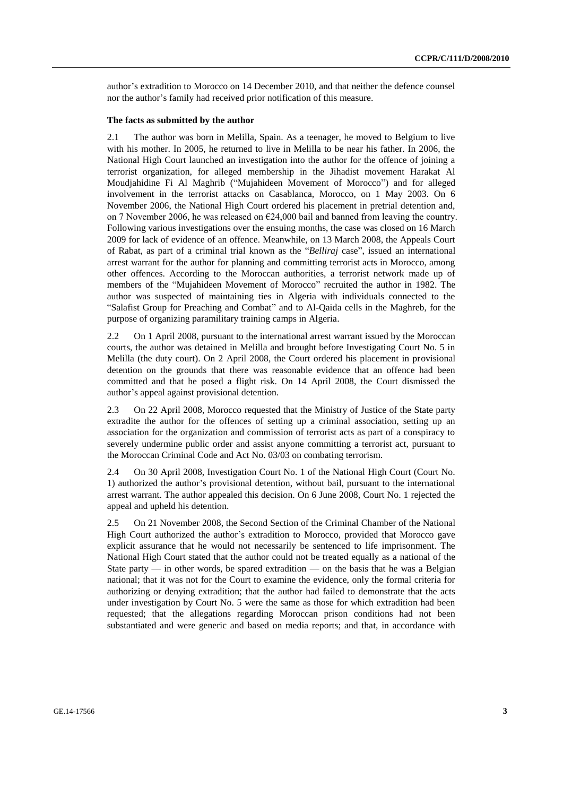author's extradition to Morocco on 14 December 2010, and that neither the defence counsel nor the author's family had received prior notification of this measure.

#### **The facts as submitted by the author**

2.1 The author was born in Melilla, Spain. As a teenager, he moved to Belgium to live with his mother. In 2005, he returned to live in Melilla to be near his father. In 2006, the National High Court launched an investigation into the author for the offence of joining a terrorist organization, for alleged membership in the Jihadist movement Harakat Al Moudjahidine Fi Al Maghrib ("Mujahideen Movement of Morocco") and for alleged involvement in the terrorist attacks on Casablanca, Morocco, on 1 May 2003. On 6 November 2006, the National High Court ordered his placement in pretrial detention and, on 7 November 2006, he was released on  $\epsilon$ 24,000 bail and banned from leaving the country. Following various investigations over the ensuing months, the case was closed on 16 March 2009 for lack of evidence of an offence. Meanwhile, on 13 March 2008, the Appeals Court of Rabat, as part of a criminal trial known as the "*Belliraj* case", issued an international arrest warrant for the author for planning and committing terrorist acts in Morocco, among other offences. According to the Moroccan authorities, a terrorist network made up of members of the "Mujahideen Movement of Morocco" recruited the author in 1982. The author was suspected of maintaining ties in Algeria with individuals connected to the "Salafist Group for Preaching and Combat" and to Al-Qaida cells in the Maghreb, for the purpose of organizing paramilitary training camps in Algeria.

2.2 On 1 April 2008, pursuant to the international arrest warrant issued by the Moroccan courts, the author was detained in Melilla and brought before Investigating Court No. 5 in Melilla (the duty court). On 2 April 2008, the Court ordered his placement in provisional detention on the grounds that there was reasonable evidence that an offence had been committed and that he posed a flight risk. On 14 April 2008, the Court dismissed the author's appeal against provisional detention.

2.3 On 22 April 2008, Morocco requested that the Ministry of Justice of the State party extradite the author for the offences of setting up a criminal association, setting up an association for the organization and commission of terrorist acts as part of a conspiracy to severely undermine public order and assist anyone committing a terrorist act, pursuant to the Moroccan Criminal Code and Act No. 03/03 on combating terrorism.

2.4 On 30 April 2008, Investigation Court No. 1 of the National High Court (Court No. 1) authorized the author's provisional detention, without bail, pursuant to the international arrest warrant. The author appealed this decision. On 6 June 2008, Court No. 1 rejected the appeal and upheld his detention.

2.5 On 21 November 2008, the Second Section of the Criminal Chamber of the National High Court authorized the author's extradition to Morocco, provided that Morocco gave explicit assurance that he would not necessarily be sentenced to life imprisonment. The National High Court stated that the author could not be treated equally as a national of the State party — in other words, be spared extradition — on the basis that he was a Belgian national; that it was not for the Court to examine the evidence, only the formal criteria for authorizing or denying extradition; that the author had failed to demonstrate that the acts under investigation by Court No. 5 were the same as those for which extradition had been requested; that the allegations regarding Moroccan prison conditions had not been substantiated and were generic and based on media reports; and that, in accordance with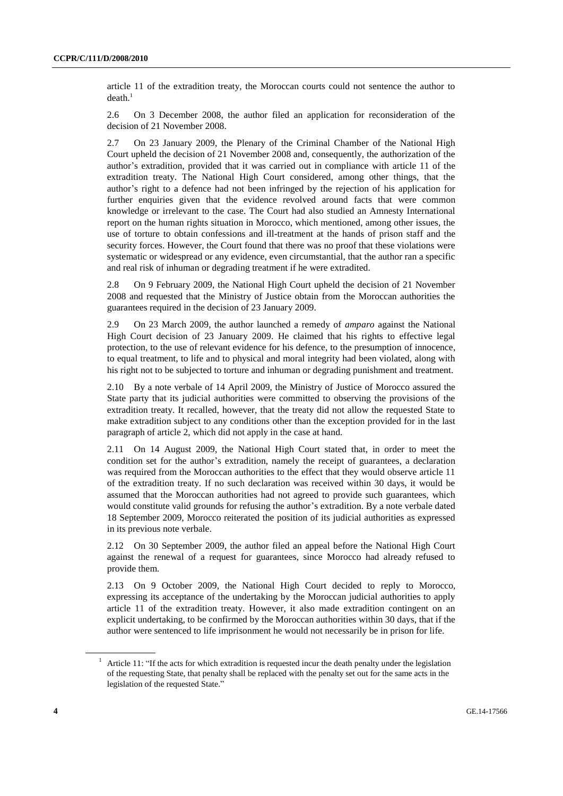article 11 of the extradition treaty, the Moroccan courts could not sentence the author to  $death.<sup>1</sup>$ 

2.6 On 3 December 2008, the author filed an application for reconsideration of the decision of 21 November 2008.

2.7 On 23 January 2009, the Plenary of the Criminal Chamber of the National High Court upheld the decision of 21 November 2008 and, consequently, the authorization of the author's extradition, provided that it was carried out in compliance with article 11 of the extradition treaty. The National High Court considered, among other things, that the author's right to a defence had not been infringed by the rejection of his application for further enquiries given that the evidence revolved around facts that were common knowledge or irrelevant to the case. The Court had also studied an Amnesty International report on the human rights situation in Morocco, which mentioned, among other issues, the use of torture to obtain confessions and ill-treatment at the hands of prison staff and the security forces. However, the Court found that there was no proof that these violations were systematic or widespread or any evidence, even circumstantial, that the author ran a specific and real risk of inhuman or degrading treatment if he were extradited.

2.8 On 9 February 2009, the National High Court upheld the decision of 21 November 2008 and requested that the Ministry of Justice obtain from the Moroccan authorities the guarantees required in the decision of 23 January 2009.

2.9 On 23 March 2009, the author launched a remedy of *amparo* against the National High Court decision of 23 January 2009. He claimed that his rights to effective legal protection, to the use of relevant evidence for his defence, to the presumption of innocence, to equal treatment, to life and to physical and moral integrity had been violated, along with his right not to be subjected to torture and inhuman or degrading punishment and treatment.

2.10 By a note verbale of 14 April 2009, the Ministry of Justice of Morocco assured the State party that its judicial authorities were committed to observing the provisions of the extradition treaty. It recalled, however, that the treaty did not allow the requested State to make extradition subject to any conditions other than the exception provided for in the last paragraph of article 2, which did not apply in the case at hand.

2.11 On 14 August 2009, the National High Court stated that, in order to meet the condition set for the author's extradition, namely the receipt of guarantees, a declaration was required from the Moroccan authorities to the effect that they would observe article 11 of the extradition treaty. If no such declaration was received within 30 days, it would be assumed that the Moroccan authorities had not agreed to provide such guarantees, which would constitute valid grounds for refusing the author's extradition. By a note verbale dated 18 September 2009, Morocco reiterated the position of its judicial authorities as expressed in its previous note verbale.

2.12 On 30 September 2009, the author filed an appeal before the National High Court against the renewal of a request for guarantees, since Morocco had already refused to provide them.

2.13 On 9 October 2009, the National High Court decided to reply to Morocco, expressing its acceptance of the undertaking by the Moroccan judicial authorities to apply article 11 of the extradition treaty. However, it also made extradition contingent on an explicit undertaking, to be confirmed by the Moroccan authorities within 30 days, that if the author were sentenced to life imprisonment he would not necessarily be in prison for life.

<sup>1</sup> Article 11: "If the acts for which extradition is requested incur the death penalty under the legislation of the requesting State, that penalty shall be replaced with the penalty set out for the same acts in the legislation of the requested State."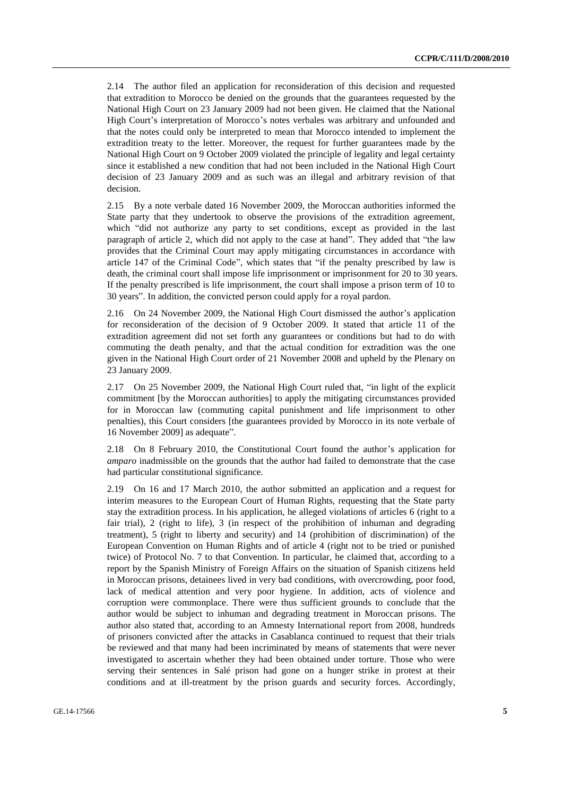2.14 The author filed an application for reconsideration of this decision and requested that extradition to Morocco be denied on the grounds that the guarantees requested by the National High Court on 23 January 2009 had not been given. He claimed that the National High Court's interpretation of Morocco's notes verbales was arbitrary and unfounded and that the notes could only be interpreted to mean that Morocco intended to implement the extradition treaty to the letter. Moreover, the request for further guarantees made by the National High Court on 9 October 2009 violated the principle of legality and legal certainty since it established a new condition that had not been included in the National High Court decision of 23 January 2009 and as such was an illegal and arbitrary revision of that decision.

2.15 By a note verbale dated 16 November 2009, the Moroccan authorities informed the State party that they undertook to observe the provisions of the extradition agreement, which "did not authorize any party to set conditions, except as provided in the last paragraph of article 2, which did not apply to the case at hand". They added that "the law provides that the Criminal Court may apply mitigating circumstances in accordance with article 147 of the Criminal Code", which states that "if the penalty prescribed by law is death, the criminal court shall impose life imprisonment or imprisonment for 20 to 30 years. If the penalty prescribed is life imprisonment, the court shall impose a prison term of 10 to 30 years". In addition, the convicted person could apply for a royal pardon.

2.16 On 24 November 2009, the National High Court dismissed the author's application for reconsideration of the decision of 9 October 2009. It stated that article 11 of the extradition agreement did not set forth any guarantees or conditions but had to do with commuting the death penalty, and that the actual condition for extradition was the one given in the National High Court order of 21 November 2008 and upheld by the Plenary on 23 January 2009.

2.17 On 25 November 2009, the National High Court ruled that, "in light of the explicit commitment [by the Moroccan authorities] to apply the mitigating circumstances provided for in Moroccan law (commuting capital punishment and life imprisonment to other penalties), this Court considers [the guarantees provided by Morocco in its note verbale of 16 November 2009] as adequate".

2.18 On 8 February 2010, the Constitutional Court found the author's application for *amparo* inadmissible on the grounds that the author had failed to demonstrate that the case had particular constitutional significance.

2.19 On 16 and 17 March 2010, the author submitted an application and a request for interim measures to the European Court of Human Rights, requesting that the State party stay the extradition process. In his application, he alleged violations of articles 6 (right to a fair trial), 2 (right to life), 3 (in respect of the prohibition of inhuman and degrading treatment), 5 (right to liberty and security) and 14 (prohibition of discrimination) of the European Convention on Human Rights and of article 4 (right not to be tried or punished twice) of Protocol No. 7 to that Convention. In particular, he claimed that, according to a report by the Spanish Ministry of Foreign Affairs on the situation of Spanish citizens held in Moroccan prisons, detainees lived in very bad conditions, with overcrowding, poor food, lack of medical attention and very poor hygiene. In addition, acts of violence and corruption were commonplace. There were thus sufficient grounds to conclude that the author would be subject to inhuman and degrading treatment in Moroccan prisons. The author also stated that, according to an Amnesty International report from 2008, hundreds of prisoners convicted after the attacks in Casablanca continued to request that their trials be reviewed and that many had been incriminated by means of statements that were never investigated to ascertain whether they had been obtained under torture. Those who were serving their sentences in Salé prison had gone on a hunger strike in protest at their conditions and at ill-treatment by the prison guards and security forces. Accordingly,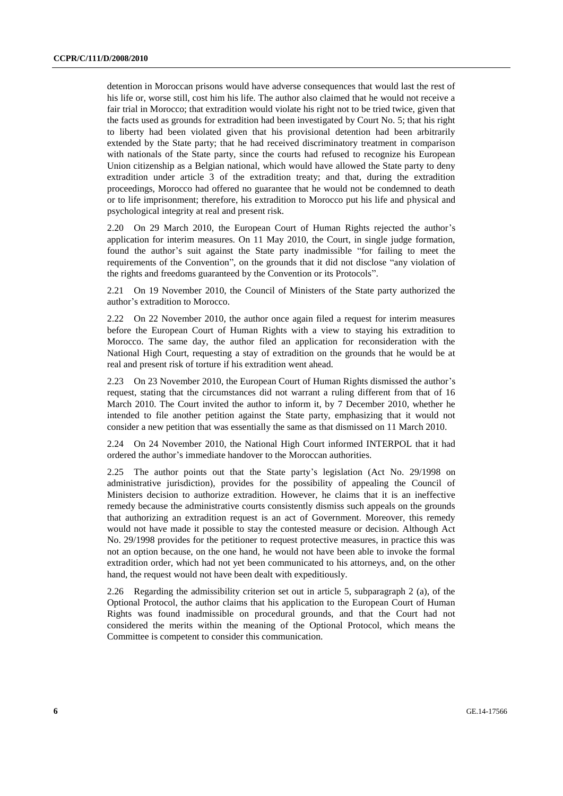detention in Moroccan prisons would have adverse consequences that would last the rest of his life or, worse still, cost him his life. The author also claimed that he would not receive a fair trial in Morocco; that extradition would violate his right not to be tried twice, given that the facts used as grounds for extradition had been investigated by Court No. 5; that his right to liberty had been violated given that his provisional detention had been arbitrarily extended by the State party; that he had received discriminatory treatment in comparison with nationals of the State party, since the courts had refused to recognize his European Union citizenship as a Belgian national, which would have allowed the State party to deny extradition under article 3 of the extradition treaty; and that, during the extradition proceedings, Morocco had offered no guarantee that he would not be condemned to death or to life imprisonment; therefore, his extradition to Morocco put his life and physical and psychological integrity at real and present risk.

2.20 On 29 March 2010, the European Court of Human Rights rejected the author's application for interim measures. On 11 May 2010, the Court, in single judge formation, found the author's suit against the State party inadmissible "for failing to meet the requirements of the Convention", on the grounds that it did not disclose "any violation of the rights and freedoms guaranteed by the Convention or its Protocols".

2.21 On 19 November 2010, the Council of Ministers of the State party authorized the author's extradition to Morocco.

2.22 On 22 November 2010, the author once again filed a request for interim measures before the European Court of Human Rights with a view to staying his extradition to Morocco. The same day, the author filed an application for reconsideration with the National High Court, requesting a stay of extradition on the grounds that he would be at real and present risk of torture if his extradition went ahead.

2.23 On 23 November 2010, the European Court of Human Rights dismissed the author's request, stating that the circumstances did not warrant a ruling different from that of 16 March 2010. The Court invited the author to inform it, by 7 December 2010, whether he intended to file another petition against the State party, emphasizing that it would not consider a new petition that was essentially the same as that dismissed on 11 March 2010.

2.24 On 24 November 2010, the National High Court informed INTERPOL that it had ordered the author's immediate handover to the Moroccan authorities.

2.25 The author points out that the State party's legislation (Act No. 29/1998 on administrative jurisdiction), provides for the possibility of appealing the Council of Ministers decision to authorize extradition. However, he claims that it is an ineffective remedy because the administrative courts consistently dismiss such appeals on the grounds that authorizing an extradition request is an act of Government. Moreover, this remedy would not have made it possible to stay the contested measure or decision. Although Act No. 29/1998 provides for the petitioner to request protective measures, in practice this was not an option because, on the one hand, he would not have been able to invoke the formal extradition order, which had not yet been communicated to his attorneys, and, on the other hand, the request would not have been dealt with expeditiously.

2.26 Regarding the admissibility criterion set out in article 5, subparagraph 2 (a), of the Optional Protocol, the author claims that his application to the European Court of Human Rights was found inadmissible on procedural grounds, and that the Court had not considered the merits within the meaning of the Optional Protocol, which means the Committee is competent to consider this communication.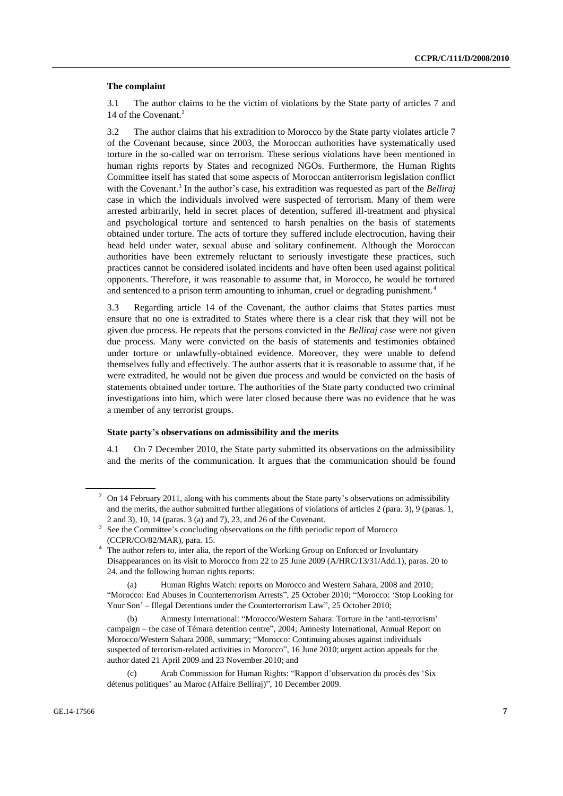#### **The complaint**

3.1 The author claims to be the victim of violations by the State party of articles 7 and 14 of the Covenant.<sup>2</sup>

3.2 The author claims that his extradition to Morocco by the State party violates article 7 of the Covenant because, since 2003, the Moroccan authorities have systematically used torture in the so-called war on terrorism. These serious violations have been mentioned in human rights reports by States and recognized NGOs. Furthermore, the Human Rights Committee itself has stated that some aspects of Moroccan antiterrorism legislation conflict with the Covenant.<sup>3</sup> In the author's case, his extradition was requested as part of the *Belliraj* case in which the individuals involved were suspected of terrorism. Many of them were arrested arbitrarily, held in secret places of detention, suffered ill-treatment and physical and psychological torture and sentenced to harsh penalties on the basis of statements obtained under torture. The acts of torture they suffered include electrocution, having their head held under water, sexual abuse and solitary confinement. Although the Moroccan authorities have been extremely reluctant to seriously investigate these practices, such practices cannot be considered isolated incidents and have often been used against political opponents. Therefore, it was reasonable to assume that, in Morocco, he would be tortured and sentenced to a prison term amounting to inhuman, cruel or degrading punishment.<sup>4</sup>

3.3 Regarding article 14 of the Covenant, the author claims that States parties must ensure that no one is extradited to States where there is a clear risk that they will not be given due process. He repeats that the persons convicted in the *Belliraj* case were not given due process. Many were convicted on the basis of statements and testimonies obtained under torture or unlawfully-obtained evidence. Moreover, they were unable to defend themselves fully and effectively. The author asserts that it is reasonable to assume that, if he were extradited, he would not be given due process and would be convicted on the basis of statements obtained under torture. The authorities of the State party conducted two criminal investigations into him, which were later closed because there was no evidence that he was a member of any terrorist groups.

#### **State party's observations on admissibility and the merits**

4.1 On 7 December 2010, the State party submitted its observations on the admissibility and the merits of the communication. It argues that the communication should be found

 $2 \text{ On } 14$  February 2011, along with his comments about the State party's observations on admissibility and the merits, the author submitted further allegations of violations of articles 2 (para. 3), 9 (paras. 1, 2 and 3), 10, 14 (paras. 3 (a) and 7), 23, and 26 of the Covenant.

<sup>3</sup> See the Committee's concluding observations on the fifth periodic report of Morocco (CCPR/CO/82/MAR), para. 15.

<sup>&</sup>lt;sup>4</sup> The author refers to, inter alia, the report of the Working Group on Enforced or Involuntary Disappearances on its visit to Morocco from 22 to 25 June 2009 (A/HRC/13/31/Add.1), paras. 20 to 24, and the following human rights reports:

<sup>(</sup>a) Human Rights Watch: reports on Morocco and Western Sahara, 2008 and 2010; "Morocco: End Abuses in Counterterrorism Arrests", 25 October 2010; "Morocco: 'Stop Looking for Your Son' – Illegal Detentions under the Counterterrorism Law", 25 October 2010;

<sup>(</sup>b) Amnesty International: "Morocco/Western Sahara: Torture in the 'anti-terrorism' campaign – the case of Témara detention centre", 2004; Amnesty International, Annual Report on Morocco/Western Sahara 2008, summary; "Morocco: Continuing abuses against individuals suspected of terrorism-related activities in Morocco", 16 June 2010; urgent action appeals for the author dated 21 April 2009 and 23 November 2010; and

Arab Commission for Human Rights: "Rapport d'observation du procès des 'Six détenus politiques' au Maroc (Affaire Belliraj)", 10 December 2009.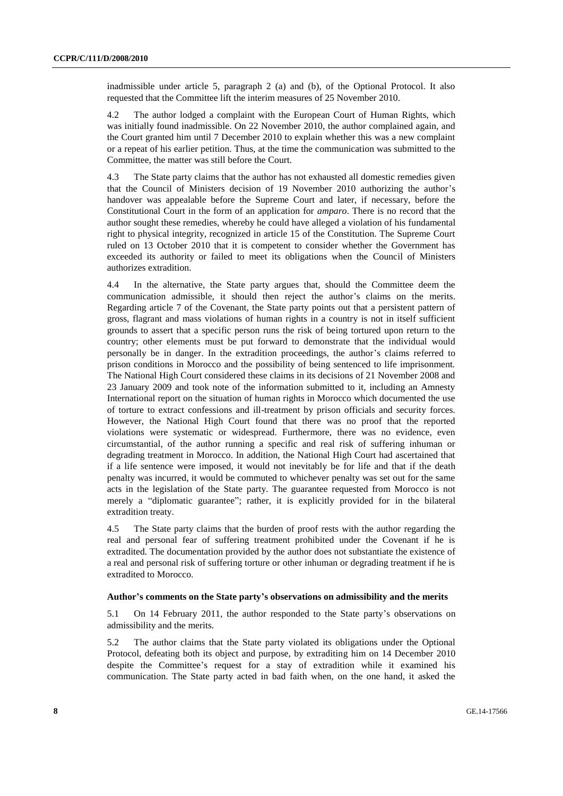inadmissible under article 5, paragraph 2 (a) and (b), of the Optional Protocol. It also requested that the Committee lift the interim measures of 25 November 2010.

4.2 The author lodged a complaint with the European Court of Human Rights, which was initially found inadmissible. On 22 November 2010, the author complained again, and the Court granted him until 7 December 2010 to explain whether this was a new complaint or a repeat of his earlier petition. Thus, at the time the communication was submitted to the Committee, the matter was still before the Court.

4.3 The State party claims that the author has not exhausted all domestic remedies given that the Council of Ministers decision of 19 November 2010 authorizing the author's handover was appealable before the Supreme Court and later, if necessary, before the Constitutional Court in the form of an application for *amparo*. There is no record that the author sought these remedies, whereby he could have alleged a violation of his fundamental right to physical integrity, recognized in article 15 of the Constitution. The Supreme Court ruled on 13 October 2010 that it is competent to consider whether the Government has exceeded its authority or failed to meet its obligations when the Council of Ministers authorizes extradition.

4.4 In the alternative, the State party argues that, should the Committee deem the communication admissible, it should then reject the author's claims on the merits. Regarding article 7 of the Covenant, the State party points out that a persistent pattern of gross, flagrant and mass violations of human rights in a country is not in itself sufficient grounds to assert that a specific person runs the risk of being tortured upon return to the country; other elements must be put forward to demonstrate that the individual would personally be in danger. In the extradition proceedings, the author's claims referred to prison conditions in Morocco and the possibility of being sentenced to life imprisonment. The National High Court considered these claims in its decisions of 21 November 2008 and 23 January 2009 and took note of the information submitted to it, including an Amnesty International report on the situation of human rights in Morocco which documented the use of torture to extract confessions and ill-treatment by prison officials and security forces. However, the National High Court found that there was no proof that the reported violations were systematic or widespread. Furthermore, there was no evidence, even circumstantial, of the author running a specific and real risk of suffering inhuman or degrading treatment in Morocco. In addition, the National High Court had ascertained that if a life sentence were imposed, it would not inevitably be for life and that if the death penalty was incurred, it would be commuted to whichever penalty was set out for the same acts in the legislation of the State party. The guarantee requested from Morocco is not merely a "diplomatic guarantee"; rather, it is explicitly provided for in the bilateral extradition treaty.

4.5 The State party claims that the burden of proof rests with the author regarding the real and personal fear of suffering treatment prohibited under the Covenant if he is extradited. The documentation provided by the author does not substantiate the existence of a real and personal risk of suffering torture or other inhuman or degrading treatment if he is extradited to Morocco.

#### **Author's comments on the State party's observations on admissibility and the merits**

5.1 On 14 February 2011, the author responded to the State party's observations on admissibility and the merits.

5.2 The author claims that the State party violated its obligations under the Optional Protocol, defeating both its object and purpose, by extraditing him on 14 December 2010 despite the Committee's request for a stay of extradition while it examined his communication. The State party acted in bad faith when, on the one hand, it asked the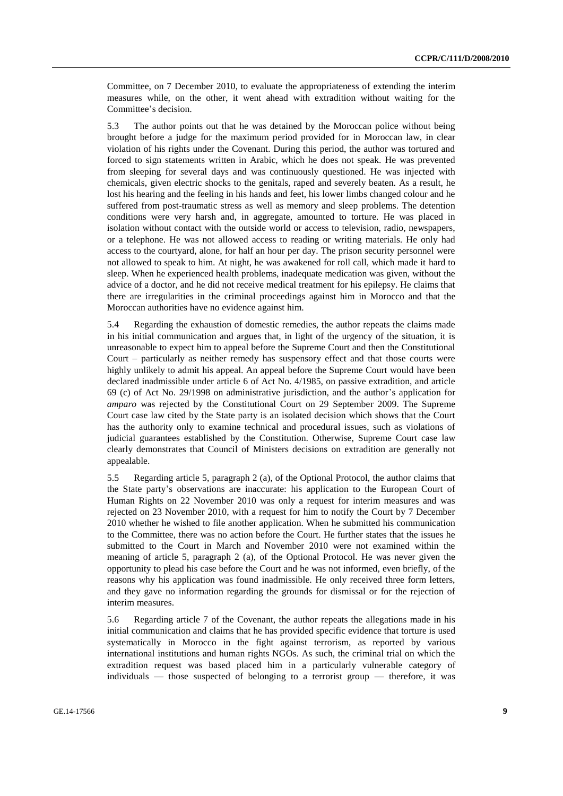Committee, on 7 December 2010, to evaluate the appropriateness of extending the interim measures while, on the other, it went ahead with extradition without waiting for the Committee's decision.

5.3 The author points out that he was detained by the Moroccan police without being brought before a judge for the maximum period provided for in Moroccan law, in clear violation of his rights under the Covenant. During this period, the author was tortured and forced to sign statements written in Arabic, which he does not speak. He was prevented from sleeping for several days and was continuously questioned. He was injected with chemicals, given electric shocks to the genitals, raped and severely beaten. As a result, he lost his hearing and the feeling in his hands and feet, his lower limbs changed colour and he suffered from post-traumatic stress as well as memory and sleep problems. The detention conditions were very harsh and, in aggregate, amounted to torture. He was placed in isolation without contact with the outside world or access to television, radio, newspapers, or a telephone. He was not allowed access to reading or writing materials. He only had access to the courtyard, alone, for half an hour per day. The prison security personnel were not allowed to speak to him. At night, he was awakened for roll call, which made it hard to sleep. When he experienced health problems, inadequate medication was given, without the advice of a doctor, and he did not receive medical treatment for his epilepsy. He claims that there are irregularities in the criminal proceedings against him in Morocco and that the Moroccan authorities have no evidence against him.

5.4 Regarding the exhaustion of domestic remedies, the author repeats the claims made in his initial communication and argues that, in light of the urgency of the situation, it is unreasonable to expect him to appeal before the Supreme Court and then the Constitutional Court – particularly as neither remedy has suspensory effect and that those courts were highly unlikely to admit his appeal. An appeal before the Supreme Court would have been declared inadmissible under article 6 of Act No. 4/1985, on passive extradition, and article 69 (c) of Act No. 29/1998 on administrative jurisdiction, and the author's application for *amparo* was rejected by the Constitutional Court on 29 September 2009. The Supreme Court case law cited by the State party is an isolated decision which shows that the Court has the authority only to examine technical and procedural issues, such as violations of judicial guarantees established by the Constitution. Otherwise, Supreme Court case law clearly demonstrates that Council of Ministers decisions on extradition are generally not appealable.

5.5 Regarding article 5, paragraph 2 (a), of the Optional Protocol, the author claims that the State party's observations are inaccurate: his application to the European Court of Human Rights on 22 November 2010 was only a request for interim measures and was rejected on 23 November 2010, with a request for him to notify the Court by 7 December 2010 whether he wished to file another application. When he submitted his communication to the Committee, there was no action before the Court. He further states that the issues he submitted to the Court in March and November 2010 were not examined within the meaning of article 5, paragraph 2 (a), of the Optional Protocol. He was never given the opportunity to plead his case before the Court and he was not informed, even briefly, of the reasons why his application was found inadmissible. He only received three form letters, and they gave no information regarding the grounds for dismissal or for the rejection of interim measures.

5.6 Regarding article 7 of the Covenant, the author repeats the allegations made in his initial communication and claims that he has provided specific evidence that torture is used systematically in Morocco in the fight against terrorism, as reported by various international institutions and human rights NGOs. As such, the criminal trial on which the extradition request was based placed him in a particularly vulnerable category of individuals — those suspected of belonging to a terrorist group — therefore, it was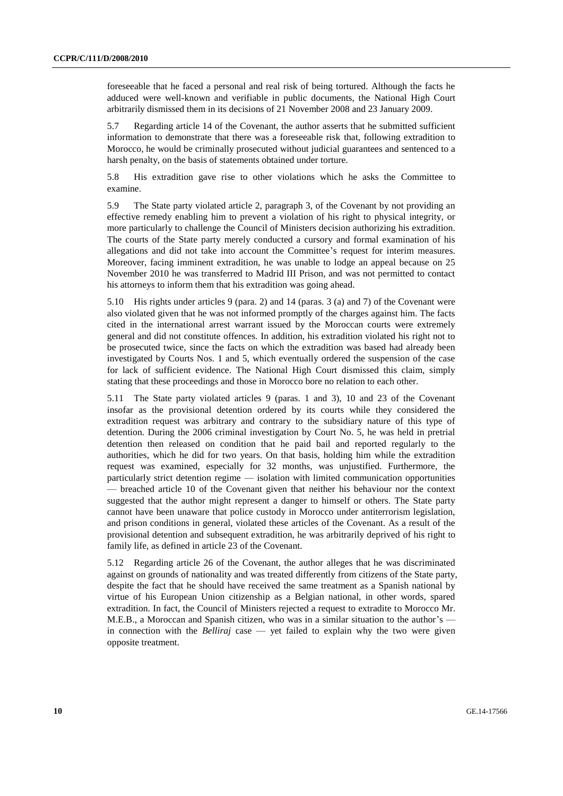foreseeable that he faced a personal and real risk of being tortured. Although the facts he adduced were well-known and verifiable in public documents, the National High Court arbitrarily dismissed them in its decisions of 21 November 2008 and 23 January 2009.

5.7 Regarding article 14 of the Covenant, the author asserts that he submitted sufficient information to demonstrate that there was a foreseeable risk that, following extradition to Morocco, he would be criminally prosecuted without judicial guarantees and sentenced to a harsh penalty, on the basis of statements obtained under torture.

5.8 His extradition gave rise to other violations which he asks the Committee to examine.

5.9 The State party violated article 2, paragraph 3, of the Covenant by not providing an effective remedy enabling him to prevent a violation of his right to physical integrity, or more particularly to challenge the Council of Ministers decision authorizing his extradition. The courts of the State party merely conducted a cursory and formal examination of his allegations and did not take into account the Committee's request for interim measures. Moreover, facing imminent extradition, he was unable to lodge an appeal because on 25 November 2010 he was transferred to Madrid III Prison, and was not permitted to contact his attorneys to inform them that his extradition was going ahead.

5.10 His rights under articles 9 (para. 2) and 14 (paras. 3 (a) and 7) of the Covenant were also violated given that he was not informed promptly of the charges against him. The facts cited in the international arrest warrant issued by the Moroccan courts were extremely general and did not constitute offences. In addition, his extradition violated his right not to be prosecuted twice, since the facts on which the extradition was based had already been investigated by Courts Nos. 1 and 5, which eventually ordered the suspension of the case for lack of sufficient evidence. The National High Court dismissed this claim, simply stating that these proceedings and those in Morocco bore no relation to each other.

5.11 The State party violated articles 9 (paras. 1 and 3), 10 and 23 of the Covenant insofar as the provisional detention ordered by its courts while they considered the extradition request was arbitrary and contrary to the subsidiary nature of this type of detention. During the 2006 criminal investigation by Court No. 5, he was held in pretrial detention then released on condition that he paid bail and reported regularly to the authorities, which he did for two years. On that basis, holding him while the extradition request was examined, especially for 32 months, was unjustified. Furthermore, the particularly strict detention regime — isolation with limited communication opportunities — breached article 10 of the Covenant given that neither his behaviour nor the context suggested that the author might represent a danger to himself or others. The State party cannot have been unaware that police custody in Morocco under antiterrorism legislation, and prison conditions in general, violated these articles of the Covenant. As a result of the provisional detention and subsequent extradition, he was arbitrarily deprived of his right to family life, as defined in article 23 of the Covenant.

5.12 Regarding article 26 of the Covenant, the author alleges that he was discriminated against on grounds of nationality and was treated differently from citizens of the State party, despite the fact that he should have received the same treatment as a Spanish national by virtue of his European Union citizenship as a Belgian national, in other words, spared extradition. In fact, the Council of Ministers rejected a request to extradite to Morocco Mr. M.E.B., a Moroccan and Spanish citizen, who was in a similar situation to the author's in connection with the *Belliraj* case — yet failed to explain why the two were given opposite treatment.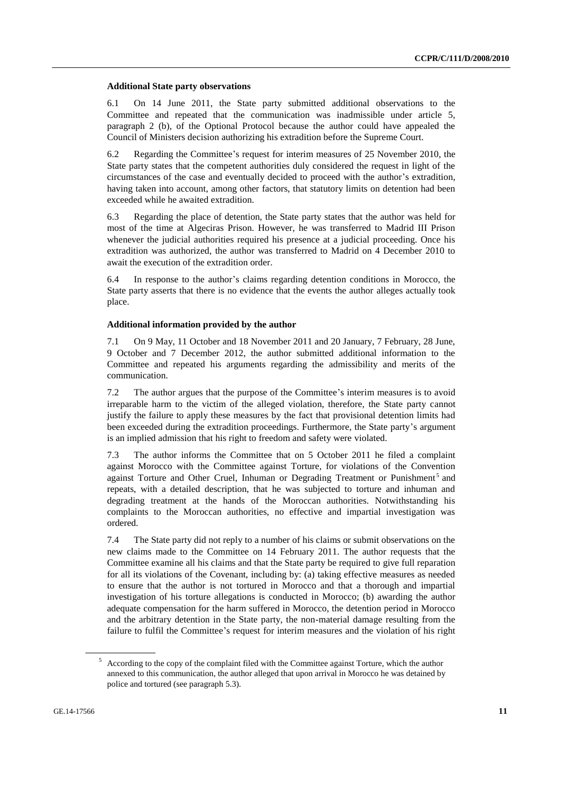#### **Additional State party observations**

6.1 On 14 June 2011, the State party submitted additional observations to the Committee and repeated that the communication was inadmissible under article 5, paragraph 2 (b), of the Optional Protocol because the author could have appealed the Council of Ministers decision authorizing his extradition before the Supreme Court.

6.2 Regarding the Committee's request for interim measures of 25 November 2010, the State party states that the competent authorities duly considered the request in light of the circumstances of the case and eventually decided to proceed with the author's extradition, having taken into account, among other factors, that statutory limits on detention had been exceeded while he awaited extradition.

6.3 Regarding the place of detention, the State party states that the author was held for most of the time at Algeciras Prison. However, he was transferred to Madrid III Prison whenever the judicial authorities required his presence at a judicial proceeding. Once his extradition was authorized, the author was transferred to Madrid on 4 December 2010 to await the execution of the extradition order.

6.4 In response to the author's claims regarding detention conditions in Morocco, the State party asserts that there is no evidence that the events the author alleges actually took place.

#### **Additional information provided by the author**

7.1 On 9 May, 11 October and 18 November 2011 and 20 January, 7 February, 28 June, 9 October and 7 December 2012, the author submitted additional information to the Committee and repeated his arguments regarding the admissibility and merits of the communication.

7.2 The author argues that the purpose of the Committee's interim measures is to avoid irreparable harm to the victim of the alleged violation, therefore, the State party cannot justify the failure to apply these measures by the fact that provisional detention limits had been exceeded during the extradition proceedings. Furthermore, the State party's argument is an implied admission that his right to freedom and safety were violated.

7.3 The author informs the Committee that on 5 October 2011 he filed a complaint against Morocco with the Committee against Torture, for violations of the Convention against Torture and Other Cruel, Inhuman or Degrading Treatment or Punishment<sup>5</sup> and repeats, with a detailed description, that he was subjected to torture and inhuman and degrading treatment at the hands of the Moroccan authorities. Notwithstanding his complaints to the Moroccan authorities, no effective and impartial investigation was ordered.

7.4 The State party did not reply to a number of his claims or submit observations on the new claims made to the Committee on 14 February 2011. The author requests that the Committee examine all his claims and that the State party be required to give full reparation for all its violations of the Covenant, including by: (a) taking effective measures as needed to ensure that the author is not tortured in Morocco and that a thorough and impartial investigation of his torture allegations is conducted in Morocco; (b) awarding the author adequate compensation for the harm suffered in Morocco, the detention period in Morocco and the arbitrary detention in the State party, the non-material damage resulting from the failure to fulfil the Committee's request for interim measures and the violation of his right

<sup>5</sup> According to the copy of the complaint filed with the Committee against Torture, which the author annexed to this communication, the author alleged that upon arrival in Morocco he was detained by police and tortured (see paragraph 5.3).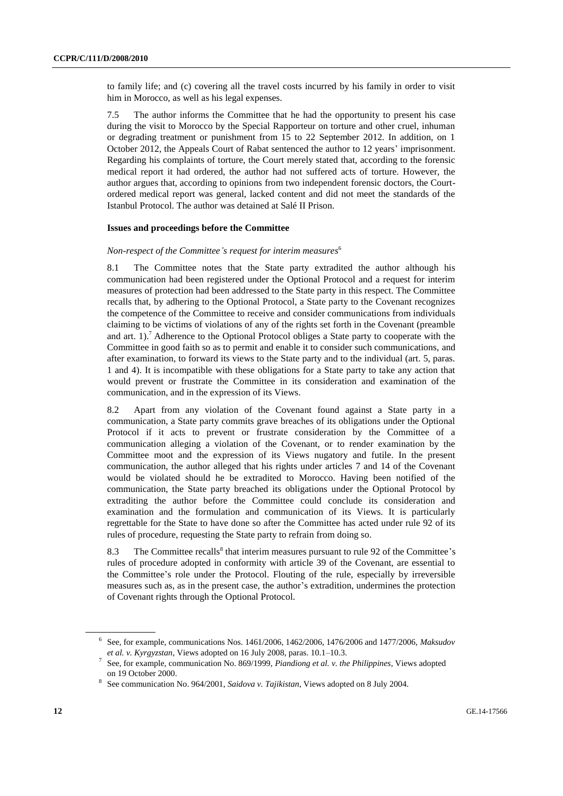to family life; and (c) covering all the travel costs incurred by his family in order to visit him in Morocco, as well as his legal expenses.

7.5 The author informs the Committee that he had the opportunity to present his case during the visit to Morocco by the Special Rapporteur on torture and other cruel, inhuman or degrading treatment or punishment from 15 to 22 September 2012. In addition, on 1 October 2012, the Appeals Court of Rabat sentenced the author to 12 years' imprisonment. Regarding his complaints of torture, the Court merely stated that, according to the forensic medical report it had ordered, the author had not suffered acts of torture. However, the author argues that, according to opinions from two independent forensic doctors, the Courtordered medical report was general, lacked content and did not meet the standards of the Istanbul Protocol. The author was detained at Salé II Prison.

#### **Issues and proceedings before the Committee**

#### *Non-respect of the Committee's request for interim measures*<sup>6</sup>

8.1 The Committee notes that the State party extradited the author although his communication had been registered under the Optional Protocol and a request for interim measures of protection had been addressed to the State party in this respect. The Committee recalls that, by adhering to the Optional Protocol, a State party to the Covenant recognizes the competence of the Committee to receive and consider communications from individuals claiming to be victims of violations of any of the rights set forth in the Covenant (preamble and art.  $1$ .<sup>7</sup> Adherence to the Optional Protocol obliges a State party to cooperate with the Committee in good faith so as to permit and enable it to consider such communications, and after examination, to forward its views to the State party and to the individual (art. 5, paras. 1 and 4). It is incompatible with these obligations for a State party to take any action that would prevent or frustrate the Committee in its consideration and examination of the communication, and in the expression of its Views.

8.2 Apart from any violation of the Covenant found against a State party in a communication, a State party commits grave breaches of its obligations under the Optional Protocol if it acts to prevent or frustrate consideration by the Committee of a communication alleging a violation of the Covenant, or to render examination by the Committee moot and the expression of its Views nugatory and futile. In the present communication, the author alleged that his rights under articles 7 and 14 of the Covenant would be violated should he be extradited to Morocco. Having been notified of the communication, the State party breached its obligations under the Optional Protocol by extraditing the author before the Committee could conclude its consideration and examination and the formulation and communication of its Views. It is particularly regrettable for the State to have done so after the Committee has acted under rule 92 of its rules of procedure, requesting the State party to refrain from doing so.

8.3 The Committee recalls<sup>8</sup> that interim measures pursuant to rule 92 of the Committee's rules of procedure adopted in conformity with article 39 of the Covenant, are essential to the Committee's role under the Protocol. Flouting of the rule, especially by irreversible measures such as, as in the present case, the author's extradition, undermines the protection of Covenant rights through the Optional Protocol.

<sup>6</sup> See, for example, communications Nos. 1461/2006, 1462/2006, 1476/2006 and 1477/2006, *Maksudov et al. v. Kyrgyzstan*, Views adopted on 16 July 2008, paras. 10.1–10.3.

<sup>7</sup> See, for example, communication No. 869/1999, *Piandiong et al. v. the Philippines*, Views adopted on 19 October 2000.

<sup>8</sup> See communication No. 964/2001, *Saidova v. Tajikistan*, Views adopted on 8 July 2004.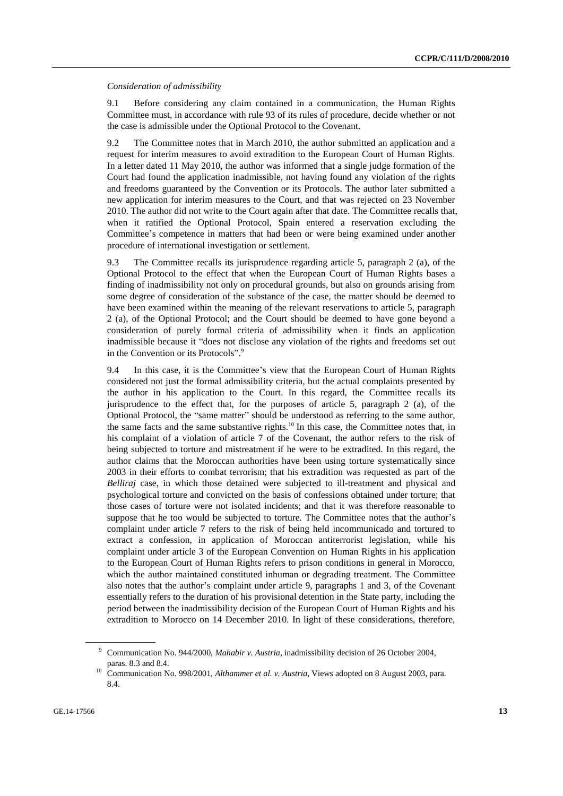#### *Consideration of admissibility*

9.1 Before considering any claim contained in a communication, the Human Rights Committee must, in accordance with rule 93 of its rules of procedure, decide whether or not the case is admissible under the Optional Protocol to the Covenant.

9.2 The Committee notes that in March 2010, the author submitted an application and a request for interim measures to avoid extradition to the European Court of Human Rights. In a letter dated 11 May 2010, the author was informed that a single judge formation of the Court had found the application inadmissible, not having found any violation of the rights and freedoms guaranteed by the Convention or its Protocols. The author later submitted a new application for interim measures to the Court, and that was rejected on 23 November 2010. The author did not write to the Court again after that date. The Committee recalls that, when it ratified the Optional Protocol, Spain entered a reservation excluding the Committee's competence in matters that had been or were being examined under another procedure of international investigation or settlement.

9.3 The Committee recalls its jurisprudence regarding article 5, paragraph 2 (a), of the Optional Protocol to the effect that when the European Court of Human Rights bases a finding of inadmissibility not only on procedural grounds, but also on grounds arising from some degree of consideration of the substance of the case, the matter should be deemed to have been examined within the meaning of the relevant reservations to article 5, paragraph 2 (a), of the Optional Protocol; and the Court should be deemed to have gone beyond a consideration of purely formal criteria of admissibility when it finds an application inadmissible because it "does not disclose any violation of the rights and freedoms set out in the Convention or its Protocols".<sup>9</sup>

9.4 In this case, it is the Committee's view that the European Court of Human Rights considered not just the formal admissibility criteria, but the actual complaints presented by the author in his application to the Court. In this regard, the Committee recalls its jurisprudence to the effect that, for the purposes of article 5, paragraph 2 (a), of the Optional Protocol, the "same matter" should be understood as referring to the same author, the same facts and the same substantive rights.<sup>10</sup> In this case, the Committee notes that, in his complaint of a violation of article 7 of the Covenant, the author refers to the risk of being subjected to torture and mistreatment if he were to be extradited. In this regard, the author claims that the Moroccan authorities have been using torture systematically since 2003 in their efforts to combat terrorism; that his extradition was requested as part of the *Belliraj* case, in which those detained were subjected to ill-treatment and physical and psychological torture and convicted on the basis of confessions obtained under torture; that those cases of torture were not isolated incidents; and that it was therefore reasonable to suppose that he too would be subjected to torture. The Committee notes that the author's complaint under article 7 refers to the risk of being held incommunicado and tortured to extract a confession, in application of Moroccan antiterrorist legislation, while his complaint under article 3 of the European Convention on Human Rights in his application to the European Court of Human Rights refers to prison conditions in general in Morocco, which the author maintained constituted inhuman or degrading treatment. The Committee also notes that the author's complaint under article 9, paragraphs 1 and 3, of the Covenant essentially refers to the duration of his provisional detention in the State party, including the period between the inadmissibility decision of the European Court of Human Rights and his extradition to Morocco on 14 December 2010. In light of these considerations, therefore,

<sup>9</sup> Communication No. 944/2000, *Mahabir v. Austria*, inadmissibility decision of 26 October 2004, paras. 8.3 and 8.4.

<sup>&</sup>lt;sup>10</sup> Communication No. 998/2001, *Althammer et al. v. Austria*, Views adopted on 8 August 2003, para. 8.4.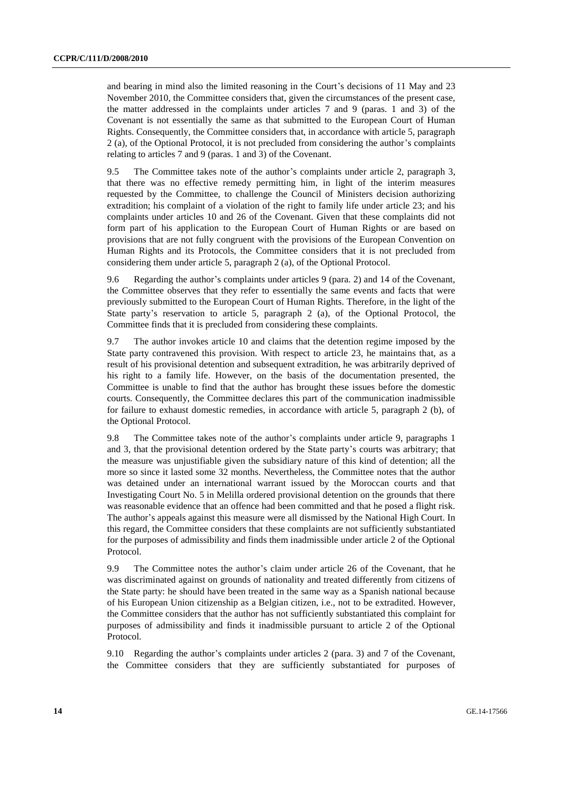and bearing in mind also the limited reasoning in the Court's decisions of 11 May and 23 November 2010, the Committee considers that, given the circumstances of the present case, the matter addressed in the complaints under articles 7 and 9 (paras. 1 and 3) of the Covenant is not essentially the same as that submitted to the European Court of Human Rights. Consequently, the Committee considers that, in accordance with article 5, paragraph 2 (a), of the Optional Protocol, it is not precluded from considering the author's complaints relating to articles 7 and 9 (paras. 1 and 3) of the Covenant.

9.5 The Committee takes note of the author's complaints under article 2, paragraph 3, that there was no effective remedy permitting him, in light of the interim measures requested by the Committee, to challenge the Council of Ministers decision authorizing extradition; his complaint of a violation of the right to family life under article 23; and his complaints under articles 10 and 26 of the Covenant. Given that these complaints did not form part of his application to the European Court of Human Rights or are based on provisions that are not fully congruent with the provisions of the European Convention on Human Rights and its Protocols, the Committee considers that it is not precluded from considering them under article 5, paragraph 2 (a), of the Optional Protocol.

9.6 Regarding the author's complaints under articles 9 (para. 2) and 14 of the Covenant, the Committee observes that they refer to essentially the same events and facts that were previously submitted to the European Court of Human Rights. Therefore, in the light of the State party's reservation to article 5, paragraph 2 (a), of the Optional Protocol, the Committee finds that it is precluded from considering these complaints.

9.7 The author invokes article 10 and claims that the detention regime imposed by the State party contravened this provision. With respect to article 23, he maintains that, as a result of his provisional detention and subsequent extradition, he was arbitrarily deprived of his right to a family life. However, on the basis of the documentation presented, the Committee is unable to find that the author has brought these issues before the domestic courts. Consequently, the Committee declares this part of the communication inadmissible for failure to exhaust domestic remedies, in accordance with article 5, paragraph 2 (b), of the Optional Protocol.

9.8 The Committee takes note of the author's complaints under article 9, paragraphs 1 and 3, that the provisional detention ordered by the State party's courts was arbitrary; that the measure was unjustifiable given the subsidiary nature of this kind of detention; all the more so since it lasted some 32 months. Nevertheless, the Committee notes that the author was detained under an international warrant issued by the Moroccan courts and that Investigating Court No. 5 in Melilla ordered provisional detention on the grounds that there was reasonable evidence that an offence had been committed and that he posed a flight risk. The author's appeals against this measure were all dismissed by the National High Court. In this regard, the Committee considers that these complaints are not sufficiently substantiated for the purposes of admissibility and finds them inadmissible under article 2 of the Optional Protocol.

9.9 The Committee notes the author's claim under article 26 of the Covenant, that he was discriminated against on grounds of nationality and treated differently from citizens of the State party: he should have been treated in the same way as a Spanish national because of his European Union citizenship as a Belgian citizen, i.e., not to be extradited. However, the Committee considers that the author has not sufficiently substantiated this complaint for purposes of admissibility and finds it inadmissible pursuant to article 2 of the Optional Protocol.

9.10 Regarding the author's complaints under articles 2 (para. 3) and 7 of the Covenant, the Committee considers that they are sufficiently substantiated for purposes of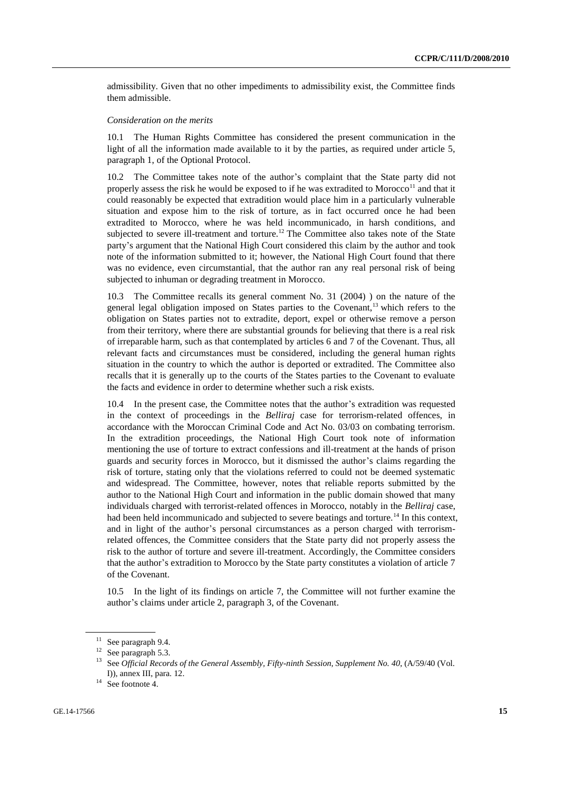admissibility. Given that no other impediments to admissibility exist, the Committee finds them admissible.

#### *Consideration on the merits*

10.1 The Human Rights Committee has considered the present communication in the light of all the information made available to it by the parties, as required under article 5, paragraph 1, of the Optional Protocol.

10.2 The Committee takes note of the author's complaint that the State party did not properly assess the risk he would be exposed to if he was extradited to Morocco<sup>11</sup> and that it could reasonably be expected that extradition would place him in a particularly vulnerable situation and expose him to the risk of torture, as in fact occurred once he had been extradited to Morocco, where he was held incommunicado, in harsh conditions, and subjected to severe ill-treatment and torture.<sup>12</sup> The Committee also takes note of the State party's argument that the National High Court considered this claim by the author and took note of the information submitted to it; however, the National High Court found that there was no evidence, even circumstantial, that the author ran any real personal risk of being subjected to inhuman or degrading treatment in Morocco.

10.3 The Committee recalls its general comment No. 31 (2004) ) on the nature of the general legal obligation imposed on States parties to the Covenant,<sup>13</sup> which refers to the obligation on States parties not to extradite, deport, expel or otherwise remove a person from their territory, where there are substantial grounds for believing that there is a real risk of irreparable harm, such as that contemplated by articles 6 and 7 of the Covenant. Thus, all relevant facts and circumstances must be considered, including the general human rights situation in the country to which the author is deported or extradited. The Committee also recalls that it is generally up to the courts of the States parties to the Covenant to evaluate the facts and evidence in order to determine whether such a risk exists.

10.4 In the present case, the Committee notes that the author's extradition was requested in the context of proceedings in the *Belliraj* case for terrorism-related offences, in accordance with the Moroccan Criminal Code and Act No. 03/03 on combating terrorism. In the extradition proceedings, the National High Court took note of information mentioning the use of torture to extract confessions and ill-treatment at the hands of prison guards and security forces in Morocco, but it dismissed the author's claims regarding the risk of torture, stating only that the violations referred to could not be deemed systematic and widespread. The Committee, however, notes that reliable reports submitted by the author to the National High Court and information in the public domain showed that many individuals charged with terrorist-related offences in Morocco, notably in the *Belliraj* case, had been held incommunicado and subjected to severe beatings and torture.<sup>14</sup> In this context, and in light of the author's personal circumstances as a person charged with terrorismrelated offences, the Committee considers that the State party did not properly assess the risk to the author of torture and severe ill-treatment. Accordingly, the Committee considers that the author's extradition to Morocco by the State party constitutes a violation of article 7 of the Covenant.

10.5 In the light of its findings on article 7, the Committee will not further examine the author's claims under article 2, paragraph 3, of the Covenant.

<sup>&</sup>lt;sup>11</sup> See paragraph 9.4.

<sup>&</sup>lt;sup>12</sup> See paragraph 5.3.

<sup>&</sup>lt;sup>13</sup> See *Official Records of the General Assembly, Fifty-ninth Session, Supplement No. 40, (A/59/40 (Vol.* I)), annex III, para. 12.

<sup>&</sup>lt;sup>14</sup> See footnote 4.